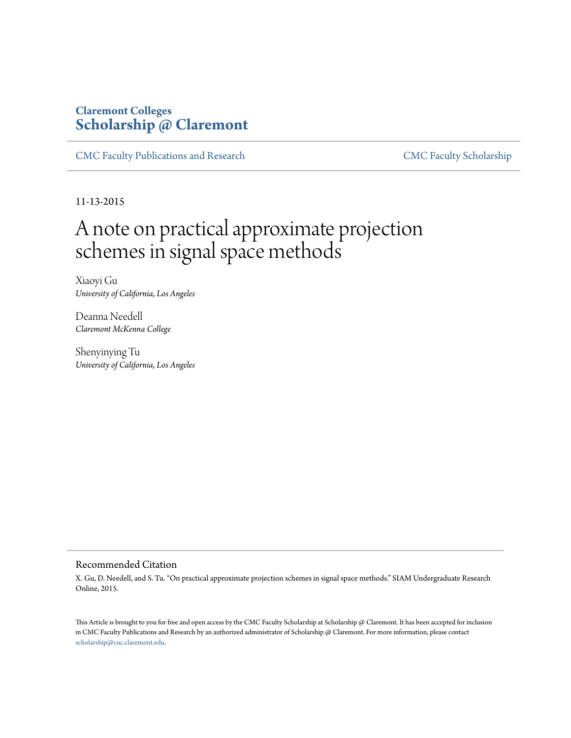# **Claremont Colleges [Scholarship @ Claremont](http://scholarship.claremont.edu)**

[CMC Faculty Publications and Research](http://scholarship.claremont.edu/cmc_fac_pub) [CMC Faculty Scholarship](http://scholarship.claremont.edu/cmc_faculty)

11-13-2015

# A note on practical approximate projection schemes in signal space methods

Xiaoyi Gu *University of California, Los Angeles*

Deanna Needell *Claremont McKenna College*

Shenyinying Tu *University of California, Los Angeles*

#### Recommended Citation

X. Gu, D. Needell, and S. Tu. "On practical approximate projection schemes in signal space methods." SIAM Undergraduate Research Online, 2015.

This Article is brought to you for free and open access by the CMC Faculty Scholarship at Scholarship @ Claremont. It has been accepted for inclusion in CMC Faculty Publications and Research by an authorized administrator of Scholarship @ Claremont. For more information, please contact [scholarship@cuc.claremont.edu.](mailto:scholarship@cuc.claremont.edu)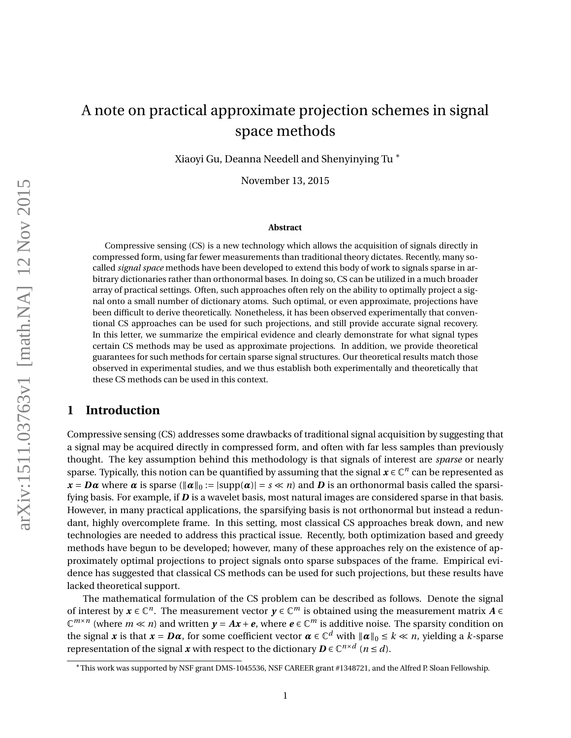# <span id="page-1-0"></span>A note on practical approximate projection schemes in signal space methods

Xiaoyi Gu, Deanna Needell and Shenyinying Tu <sup>∗</sup>

November 13, 2015

#### **Abstract**

Compressive sensing (CS) is a new technology which allows the acquisition of signals directly in compressed form, using far fewer measurements than traditional theory dictates. Recently, many socalled *signal space* methods have been developed to extend this body of work to signals sparse in arbitrary dictionaries rather than orthonormal bases. In doing so, CS can be utilized in a much broader array of practical settings. Often, such approaches often rely on the ability to optimally project a signal onto a small number of dictionary atoms. Such optimal, or even approximate, projections have been difficult to derive theoretically. Nonetheless, it has been observed experimentally that conventional CS approaches can be used for such projections, and still provide accurate signal recovery. In this letter, we summarize the empirical evidence and clearly demonstrate for what signal types certain CS methods may be used as approximate projections. In addition, we provide theoretical guarantees for such methods for certain sparse signal structures. Our theoretical results match those observed in experimental studies, and we thus establish both experimentally and theoretically that these CS methods can be used in this context.

# **1 Introduction**

Compressive sensing (CS) addresses some drawbacks of traditional signal acquisition by suggesting that a signal may be acquired directly in compressed form, and often with far less samples than previously thought. The key assumption behind this methodology is that signals of interest are *sparse* or nearly sparse. Typically, this notion can be quantified by assuming that the signal  $x \in \mathbb{C}^n$  can be represented as  $x = D\alpha$  where  $\alpha$  is sparse ( $\|\alpha\|_0 := |\text{supp}(\alpha)| = s \ll n$ ) and *D* is an orthonormal basis called the sparsifying basis. For example, if *D* is a wavelet basis, most natural images are considered sparse in that basis. However, in many practical applications, the sparsifying basis is not orthonormal but instead a redundant, highly overcomplete frame. In this setting, most classical CS approaches break down, and new technologies are needed to address this practical issue. Recently, both optimization based and greedy methods have begun to be developed; however, many of these approaches rely on the existence of approximately optimal projections to project signals onto sparse subspaces of the frame. Empirical evidence has suggested that classical CS methods can be used for such projections, but these results have lacked theoretical support.

The mathematical formulation of the CS problem can be described as follows. Denote the signal of interest by  $x \in \mathbb{C}^n$ . The measurement vector  $y \in \mathbb{C}^m$  is obtained using the measurement matrix  $A \in$  $\mathbb{C}^{m \times n}$  (where  $m \ll n$ ) and written  $y = Ax + e$ , where  $e \in \mathbb{C}^m$  is additive noise. The sparsity condition on the signal  $x$  is that  $x = D\alpha$ , for some coefficient vector  $\alpha \in \mathbb{C}^d$  with  $\|\alpha\|_0 \le k \ll n$ , yielding a *k*-sparse representation of the signal *x* with respect to the dictionary  $D \in \mathbb{C}^{n \times d}$  ( $n \le d$ ).

<sup>∗</sup>This work was supported by NSF grant DMS-1045536, NSF CAREER grant #1348721, and the Alfred P. Sloan Fellowship.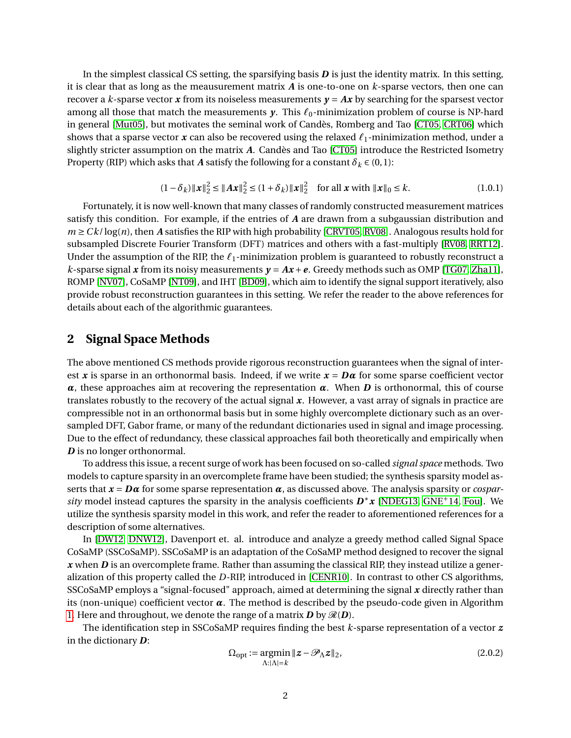In the simplest classical CS setting, the sparsifying basis *D* is just the identity matrix. In this setting, it is clear that as long as the meausurement matrix *A* is one-to-one on *k*-sparse vectors, then one can recover a *k*-sparse vector *x* from its noiseless measurements  $y = Ax$  by searching for the sparsest vector among all those that match the measurements  $y$ . This  $\ell_0$ -minimization problem of course is NP-hard in general [\[Mut05\]](#page-12-0), but motivates the seminal work of Candès, Romberg and Tao [\[CT05,](#page-11-0) [CRT06\]](#page-11-1) which shows that a sparse vector  $\boldsymbol{x}$  can also be recovered using the relaxed  $\ell_1$ -minimization method, under a slightly stricter assumption on the matrix *A*. Candès and Tao [\[CT05\]](#page-11-0) introduce the Restricted Isometry Property (RIP) which asks that *A* satisfy the following for a constant  $\delta_k \in (0,1)$ :

$$
(1 - \delta_k) \|x\|_2^2 \le \|Ax\|_2^2 \le (1 + \delta_k) \|x\|_2^2 \quad \text{for all } x \text{ with } \|x\|_0 \le k. \tag{1.0.1}
$$

<span id="page-2-1"></span>Fortunately, it is now well-known that many classes of randomly constructed measurement matrices satisfy this condition. For example, if the entries of *A* are drawn from a subgaussian distribution and  $m \geq C k / \log(n)$ , then *A* satisfies the RIP with high probability [\[CRVT05,](#page-11-2) [RV08\]](#page-12-1). Analogous results hold for subsampled Discrete Fourier Transform (DFT) matrices and others with a fast-multiply [\[RV08,](#page-12-1) [RRT12\]](#page-12-2). Under the assumption of the RIP, the  $\ell_1$ -minimization problem is guaranteed to robustly reconstruct a *k*-sparse signal *x* from its noisy measurements  $y = Ax + e$ . Greedy methods such as OMP [\[TG07,](#page-12-3) [Zha11\]](#page-12-4), ROMP [\[NV07\]](#page-12-5), CoSaMP [\[NT09\]](#page-12-6), and IHT [\[BD09\]](#page-11-3), which aim to identify the signal support iteratively, also provide robust reconstruction guarantees in this setting. We refer the reader to the above references for details about each of the algorithmic guarantees.

### **2 Signal Space Methods**

The above mentioned CS methods provide rigorous reconstruction guarantees when the signal of interest *x* is sparse in an orthonormal basis. Indeed, if we write  $x = D\alpha$  for some sparse coefficient vector *α*, these approaches aim at recovering the representation *α*. When *D* is orthonormal, this of course translates robustly to the recovery of the actual signal *x*. However, a vast array of signals in practice are compressible not in an orthonormal basis but in some highly overcomplete dictionary such as an oversampled DFT, Gabor frame, or many of the redundant dictionaries used in signal and image processing. Due to the effect of redundancy, these classical approaches fail both theoretically and empirically when *D* is no longer orthonormal.

To address this issue, a recent surge of work has been focused on so-called *signal space* methods. Two models to capture sparsity in an overcomplete frame have been studied; the synthesis sparsity model asserts that  $\mathbf{x} = \mathbf{D}\mathbf{\alpha}$  for some sparse representation  $\alpha$ , as discussed above. The analysis sparsity or *cosparsity* model instead captures the sparsity in the analysis coefficients  $D^*x$  [\[NDEG13,](#page-12-7) [GNE](#page-12-8)<sup>+</sup>14, [Fou\]](#page-11-4). We utilize the synthesis sparsity model in this work, and refer the reader to aforementioned references for a description of some alternatives.

In [\[DW12,](#page-11-5) [DNW12\]](#page-11-6), Davenport et. al. introduce and analyze a greedy method called Signal Space CoSaMP (SSCoSaMP). SSCoSaMP is an adaptation of the CoSaMP method designed to recover the signal *x* when *D* is an overcomplete frame. Rather than assuming the classical RIP, they instead utilize a generalization of this property called the *D*-RIP, introduced in [\[CENR10\]](#page-11-7). In contrast to other CS algorithms, SSCoSaMP employs a "signal-focused" approach, aimed at determining the signal *x* directly rather than its (non-unique) coefficient vector  $\alpha$ . The method is described by the pseudo-code given in Algorithm [1.](#page-1-0) Here and throughout, we denote the range of a matrix  $D$  by  $\mathcal{R}(D)$ .

The identification step in SSCoSaMP requires finding the best *k*-sparse representation of a vector *z* in the dictionary *D*:

<span id="page-2-0"></span>
$$
\Omega_{\text{opt}} := \underset{\Lambda:|\Lambda|=k}{\text{argmin}} \|z - \mathcal{P}_{\Lambda} z\|_2,\tag{2.0.2}
$$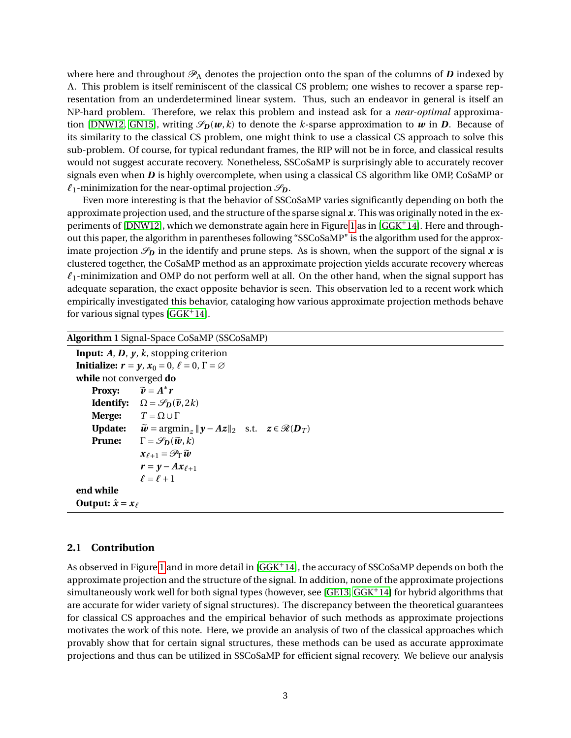where here and throughout  $\mathcal{P}_\Lambda$  denotes the projection onto the span of the columns of *D* indexed by Λ. This problem is itself reminiscent of the classical CS problem; one wishes to recover a sparse representation from an underdetermined linear system. Thus, such an endeavor in general is itself an NP-hard problem. Therefore, we relax this problem and instead ask for a *near-optimal* approxima-tion [\[DNW12,](#page-11-6) [GN15\]](#page-12-9), writing  $\mathscr{S}_D(w,k)$  to denote the *k*-sparse approximation to *w* in *D*. Because of its similarity to the classical CS problem, one might think to use a classical CS approach to solve this sub-problem. Of course, for typical redundant frames, the RIP will not be in force, and classical results would not suggest accurate recovery. Nonetheless, SSCoSaMP is surprisingly able to accurately recover signals even when *D* is highly overcomplete, when using a classical CS algorithm like OMP, CoSaMP or  $\ell_1$ -minimization for the near-optimal projection  $\mathscr{S}_{\mathbf{D}}$ .

Even more interesting is that the behavior of SSCoSaMP varies significantly depending on both the approximate projection used, and the structure of the sparse signal *x*. This was originally noted in the experiments of [\[DNW12\]](#page-11-6), which we demonstrate again here in Figure [1](#page-4-0) as in [\[GGK](#page-12-10)+14]. Here and throughout this paper, the algorithm in parentheses following "SSCoSaMP" is the algorithm used for the approximate projection  $\mathscr{S}_D$  in the identify and prune steps. As is shown, when the support of the signal x is clustered together, the CoSaMP method as an approximate projection yields accurate recovery whereas  $\ell_1$ -minimization and OMP do not perform well at all. On the other hand, when the signal support has adequate separation, the exact opposite behavior is seen. This observation led to a recent work which empirically investigated this behavior, cataloging how various approximate projection methods behave for various signal types  $[GGK^+14]$  $[GGK^+14]$ .

**Algorithm 1** Signal-Space CoSaMP (SSCoSaMP)

```
Input: A, D, y, k, stopping criterion
Initialize: r = \gamma, x_0 = 0, \ell = 0, \Gamma = \varnothingwhile not converged do
       Proxy:<br>Identify:
                                          ∗
r
       Identify: \Omega = \mathscr{S}_{\mathbf{D}}(\tilde{\mathbf{v}}, 2k)<br>Merge: T = \Omega \cup \GammaT = Ω ∪ ΓUpdate: \widetilde{\boldsymbol{w}} = \arg\min_{z} ||\boldsymbol{y} - \boldsymbol{A}z||_2 \text{ s.t. } z \in \mathcal{R}(\boldsymbol{D}_T)Prune: \Gamma = \mathscr{S}_D(\widetilde{\boldsymbol{w}}, k)x_{\ell+1} = \mathscr{P}_{\Gamma} \widetilde{w}r = y - Ax_{\ell+1}\ell = \ell + 1end while
Output: \hat{x} = x_\ell
```
#### **2.1 Contribution**

As observed in Figure [1](#page-4-0) and in more detail in [\[GGK](#page-12-10)<sup>+</sup>14], the accuracy of SSCoSaMP depends on both the approximate projection and the structure of the signal. In addition, none of the approximate projections simultaneously work well for both signal types (however, see [\[GE13,](#page-12-11)  $GGK^+14$ ] for hybrid algorithms that are accurate for wider variety of signal structures). The discrepancy between the theoretical guarantees for classical CS approaches and the empirical behavior of such methods as approximate projections motivates the work of this note. Here, we provide an analysis of two of the classical approaches which provably show that for certain signal structures, these methods can be used as accurate approximate projections and thus can be utilized in SSCoSaMP for efficient signal recovery. We believe our analysis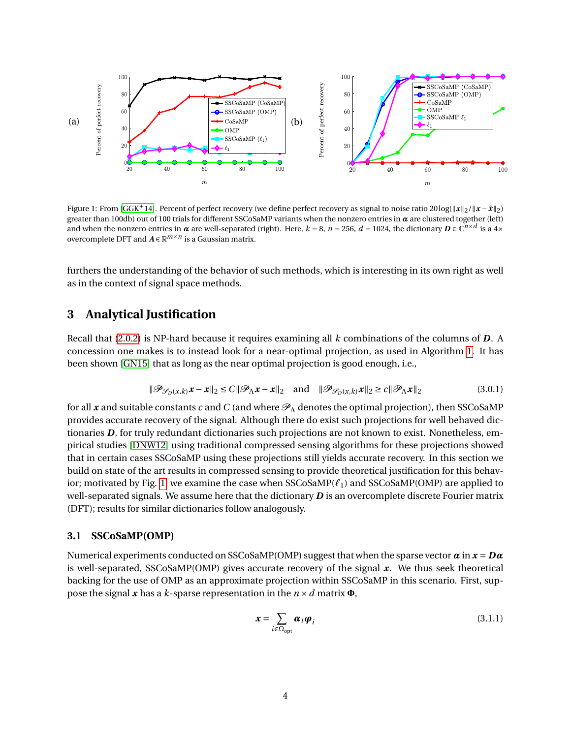<span id="page-4-0"></span>

Figure 1: From [\[GGK](#page-12-10)<sup>+</sup>14]. Percent of perfect recovery (we define perfect recovery as signal to noise ratio 20log( $\|\mathbf{x}\|_2/\|\mathbf{x}-\hat{\mathbf{x}}\|_2$ ) greater than 100db) out of 100 trials for different SSCoSaMP variants when the nonzero entries in *α* are clustered together (left) and when the nonzero entries in *α* are well-separated (right). Here, *k* = 8, *n* = 256, *d* = 1024, the dictionary *D* ∈ C *n*×*d* is a 4× overcomplete DFT and *A* ∈ R *m*×*n* is a Gaussian matrix.

furthers the understanding of the behavior of such methods, which is interesting in its own right as well as in the context of signal space methods.

## **3 Analytical Justification**

Recall that [\(2.0.2\)](#page-2-0) is NP-hard because it requires examining all *k* combinations of the columns of *D*. A concession one makes is to instead look for a near-optimal projection, as used in Algorithm [1.](#page-1-0) It has been shown [\[GN15\]](#page-12-9) that as long as the near optimal projection is good enough, i.e.,

$$
\|\mathcal{P}_{\mathcal{S}_D(x,k)}x - x\|_2 \le C \|\mathcal{P}_{\Lambda}x - x\|_2 \quad \text{and} \quad \|\mathcal{P}_{\mathcal{S}_D(x,k)}x\|_2 \ge C \|\mathcal{P}_{\Lambda}x\|_2 \tag{3.0.1}
$$

for all x and suitable constants c and C (and where  $\mathcal{P}_\Lambda$  denotes the optimal projection), then SSCoSaMP provides accurate recovery of the signal. Although there do exist such projections for well behaved dictionaries *D*, for truly redundant dictionaries such projections are not known to exist. Nonetheless, empirical studies [\[DNW12\]](#page-11-6) using traditional compressed sensing algorithms for these projections showed that in certain cases SSCoSaMP using these projections still yields accurate recovery. In this section we build on state of the art results in compressed sensing to provide theoretical justification for this behav-ior; motivated by Fig. [1,](#page-4-0) we examine the case when  $SSCoSaMP(\ell_1)$  and  $SSCoSaMP(OMP)$  are applied to well-separated signals. We assume here that the dictionary **D** is an overcomplete discrete Fourier matrix (DFT); results for similar dictionaries follow analogously.

#### **3.1 SSCoSaMP(OMP)**

<span id="page-4-1"></span>Numerical experiments conducted on SSCoSaMP(OMP) suggest that when the sparse vector *α* in *x* = *Dα* is well-separated, SSCoSaMP(OMP) gives accurate recovery of the signal *x*. We thus seek theoretical backing for the use of OMP as an approximate projection within SSCoSaMP in this scenario. First, suppose the signal  $x$  has a  $k$ -sparse representation in the  $n \times d$  matrix  $\Phi$ ,

$$
\mathbf{x} = \sum_{i \in \Omega_{\text{opt}}} \boldsymbol{\alpha}_i \boldsymbol{\varphi}_i \tag{3.1.1}
$$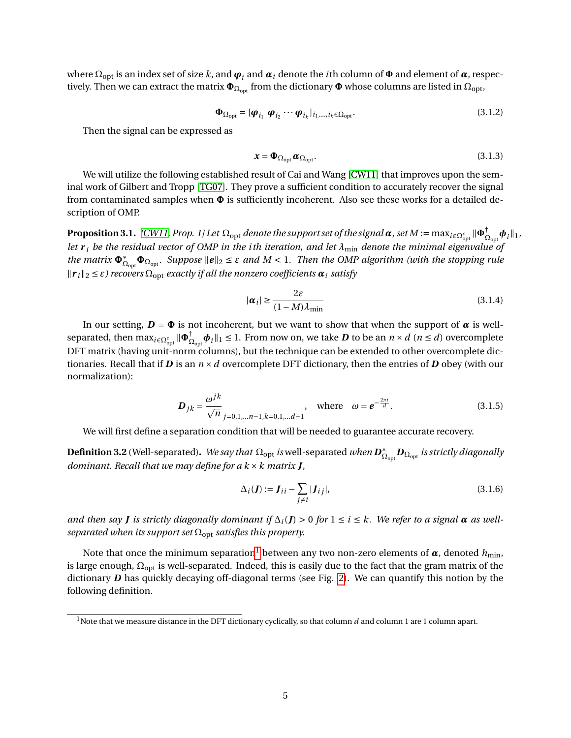where  $\Omega_{\rm opt}$  is an index set of size  $k$ , and  $\bm\varphi_i$  and  $\bm\alpha_i$  denote the  $i$ th column of  $\bm\Phi$  and element of  $\bm\alpha$ , respectively. Then we can extract the matrix  $\Phi_{\Omega_{opt}}$  from the dictionary  $\Phi$  whose columns are listed in  $\Omega_{opt}$ ,

$$
\mathbf{\Phi}_{\Omega_{\text{opt}}} = [\boldsymbol{\varphi}_{i_1} \ \boldsymbol{\varphi}_{i_2} \cdots \boldsymbol{\varphi}_{i_k}]_{i_1,\dots,i_k \in \Omega_{\text{opt}}}.
$$
\n(3.1.2)

Then the signal can be expressed as

$$
\mathbf{x} = \mathbf{\Phi}_{\Omega_{\text{opt}}} \boldsymbol{\alpha}_{\Omega_{\text{opt}}}.
$$
\n(3.1.3)

We will utilize the following established result of Cai and Wang [\[CW11\]](#page-11-8) that improves upon the seminal work of Gilbert and Tropp [\[TG07\]](#page-12-3). They prove a sufficient condition to accurately recover the signal from contaminated samples when **Φ** is sufficiently incoherent. Also see these works for a detailed description of OMP.

 ${\bf Proposition 3.1.}$  [\[CW11,](#page-11-8) Prop. 1] Let  $\Omega_{\rm opt}$  denote the support set of the signal  $\pmb\alpha$  , set  $M:=\max_{i\in\Omega_{\rm opt}^c}\|\pmb\Phi_{\Omega_i}^+$  $_{\Omega_{\rm opt}}^\dagger \boldsymbol{\phi}_i \Vert_1$  , *let*  $r_i$  *be the residual vector of OMP in the ith iteration, and let*  $\lambda_{min}$  *denote the minimal eigenvalue of the matrix*  $\Phi_{\Omega_{\text{opt}}}^{*}$ ,  $\Phi_{\Omega_{\text{opt}}}$ . Suppose  $\|e\|_2 \leq \varepsilon$  and  $M < 1$ . Then the OMP algorithm (with the stopping rule  $\|\mathbf{r}_i\|_2 \leq \varepsilon$ ) recovers  $\Omega_{\text{opt}}$  *exactly if all the nonzero coefficients*  $\boldsymbol{\alpha}_i$  *satisfy* 

$$
|\boldsymbol{\alpha}_i| \ge \frac{2\varepsilon}{(1 - M)\lambda_{\min}}\tag{3.1.4}
$$

In our setting,  $D = \Phi$  is not incoherent, but we want to show that when the support of  $\alpha$  is wellseparated, then  $\max_{i \in \Omega_{\rm opt}^c} \| \Phi_{\Omega_{\rm c}}^{\dagger} \|$  $\sum_{\Omega_{\rm opt}}^{\dagger} \boldsymbol{\phi}_i \|_1 \leq 1.$  From now on, we take  $\boldsymbol{D}$  to be an  $n \times d$   $(n \leq d)$  overcomplete DFT matrix (having unit-norm columns), but the technique can be extended to other overcomplete dictionaries. Recall that if *D* is an  $n \times d$  overcomplete DFT dictionary, then the entries of *D* obey (with our normalization):

$$
\mathbf{D}_{jk} = \frac{\omega^{jk}}{\sqrt{n}} \sum_{j=0,1,...n-1,k=0,1,...d-1} , \text{ where } \omega = e^{-\frac{2\pi i}{d}}.
$$
 (3.1.5)

We will first define a separation condition that will be needed to guarantee accurate recovery.

**Definition 3.2** (Well-separated). *We say that*  $\Omega_{\text{opt}}$  *is* well-separated *when*  $\mathbf{D}_{\Omega}^{*}$ Ωopt *D*Ωopt *is strictly diagonally dominant. Recall that we may define for a k* ×*k matrix J,*

$$
\Delta_i(\boldsymbol{J}) := \boldsymbol{J}_{ii} - \sum_{j \neq i} |\boldsymbol{J}_{ij}|,\tag{3.1.6}
$$

*and then say J is strictly diagonally dominant if*  $\Delta_i$  (*J*) > 0 *for*  $1 \le i \le k$ . We refer to a signal  $\alpha$  as well*separated when its support set*  $Ω<sub>opt</sub>$  *satisfies this property.* 

Note that once the minimum separation<sup>[1](#page-5-0)</sup> between any two non-zero elements of  $\alpha$ , denoted  $h_{\text{min}}$ , is large enough,  $\Omega_{opt}$  is well-separated. Indeed, this is easily due to the fact that the gram matrix of the dictionary *D* has quickly decaying off-diagonal terms (see Fig. [2\)](#page-6-0). We can quantify this notion by the following definition.

<span id="page-5-0"></span><sup>&</sup>lt;sup>1</sup>Note that we measure distance in the DFT dictionary cyclically, so that column *d* and column 1 are 1 column apart.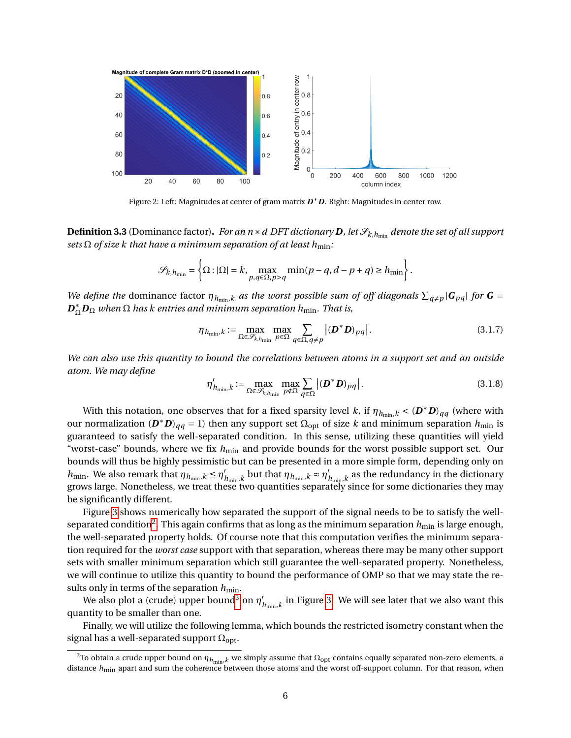<span id="page-6-0"></span>

Figure 2: Left: Magnitudes at center of gram matrix *D* <sup>∗</sup>*D*. Right: Magnitudes in center row.

**Definition 3.3** (Dominance factor). *For an n* × *d* DFT dictionary **D**, let  $\mathcal{S}_{k,h_{min}}$  denote the set of all support *sets*  $\Omega$  *of size k* that have a minimum separation of at least  $h_{\text{min}}$ *:* 

$$
\mathcal{S}_{k,h_{\min}} = \left\{ \Omega : |\Omega| = k, \max_{p,q \in \Omega, p > q} \min(p-q, d-p+q) \ge h_{\min} \right\}.
$$

*We define the* dominance factor  $\eta_{h_{\min},k}$  *as the worst possible sum of off diagonals*  $\sum_{q\neq p} |G_{pq}|$  *for*  $G =$  $D_{\Omega}^* D_{\Omega}$  *when*  $\Omega$  *has k entries and minimum separation h*<sub>min</sub>. That is,

<span id="page-6-2"></span>
$$
\eta_{h_{\min},k} := \max_{\Omega \in \mathcal{S}_{k,h_{\min}}} \max_{p \in \Omega} \sum_{q \in \Omega, q \neq p} |(\mathbf{D}^* \mathbf{D})_{pq}|.
$$
 (3.1.7)

*We can also use this quantity to bound the correlations between atoms in a support set and an outside atom. We may define*

<span id="page-6-3"></span>
$$
\eta'_{h_{\min},k} := \max_{\Omega \in \mathcal{S}_{k,h_{\min}}} \max_{p \notin \Omega} \sum_{q \in \Omega} |(\boldsymbol{D}^* \boldsymbol{D})_{pq}|.
$$
\n(3.1.8)

With this notation, one observes that for a fixed sparsity level *k*, if  $\eta_{h_{\min},k} < (D^*D)_{qq}$  (where with our normalization  $(D^*D)_{qq} = 1$ ) then any support set  $\Omega_{opt}$  of size *k* and minimum separation  $h_{min}$  is guaranteed to satisfy the well-separated condition. In this sense, utilizing these quantities will yield "worst-case" bounds, where we fix  $h_{\text{min}}$  and provide bounds for the worst possible support set. Our bounds will thus be highly pessimistic but can be presented in a more simple form, depending only on *h*<sub>min</sub>. We also remark that  $\eta_{h_{\min},k} \leq \eta'$ *h*<sub>min</sub>,*k* but that  $\eta_{h_{\min},k} \approx \eta'_{k}$  $h_{\min,k}$  as the redundancy in the dictionary grows large. Nonetheless, we treat these two quantities separately since for some dictionaries they may be significantly different.

Figure [3](#page-7-0) shows numerically how separated the support of the signal needs to be to satisfy the well-separated condition<sup>[2](#page-6-1)</sup>. This again confirms that as long as the minimum separation  $h_{\min}$  is large enough, the well-separated property holds. Of course note that this computation verifies the minimum separation required for the *worst case* support with that separation, whereas there may be many other support sets with smaller minimum separation which still guarantee the well-separated property. Nonetheless, we will continue to utilize this quantity to bound the performance of OMP so that we may state the results only in terms of the separation  $h_{\text{min}}$ .

We also plot a (crude) upper bound<sup>[3](#page-7-1)</sup> on *η'*  $\mathcal{U}_{h_{\min},k}$  in Figure [3.](#page-7-0) We will see later that we also want this quantity to be smaller than one.

Finally, we will utilize the following lemma, which bounds the restricted isometry constant when the signal has a well-separated support  $\Omega_{\text{opt}}$ .

<span id="page-6-4"></span><span id="page-6-1"></span><sup>&</sup>lt;sup>2</sup>To obtain a crude upper bound on  $η_{h_{min},k}$  we simply assume that  $Ω_{opt}$  contains equally separated non-zero elements, a distance  $h_{\text{min}}$  apart and sum the coherence between those atoms and the worst off-support column. For that reason, when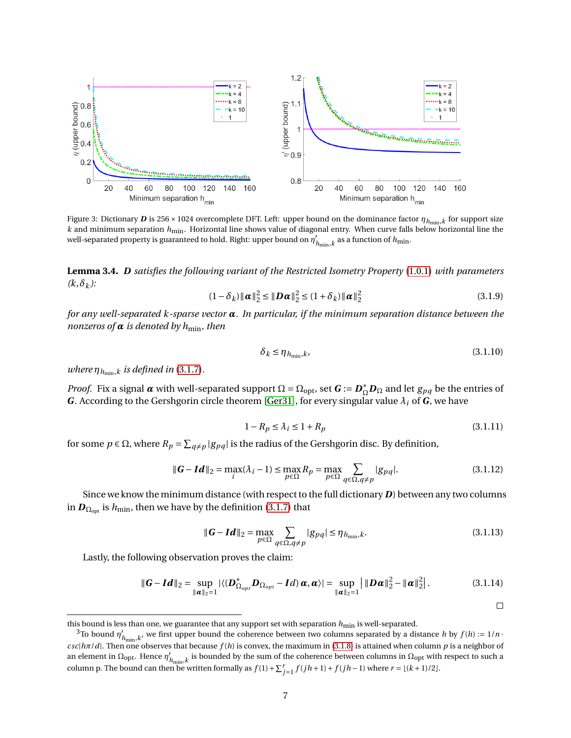<span id="page-7-0"></span>

Figure 3: Dictionary  $D$  is 256 × 1024 overcomplete DFT. Left: upper bound on the dominance factor  $\eta_{h_{\min},k}$  for support size *k* and minimum separation *h*min. Horizontal line shows value of diagonal entry. When curve falls below horizontal line the well-separated property is guaranteed to hold. Right: upper bound on *η* 0  $n_{\min,k}$  as a function of  $n_{\min,k}$ 

**Lemma 3.4.** *D satisfies the following variant of the Restricted Isometry Property* [\(1.0.1\)](#page-2-1) *with parameters*  $(k, \delta_k)$ :

$$
(1 - \delta_k) ||\boldsymbol{\alpha}||_2^2 \le ||\boldsymbol{D}\boldsymbol{\alpha}||_2^2 \le (1 + \delta_k) ||\boldsymbol{\alpha}||_2^2
$$
\n(3.1.9)

*for any well-separated k-sparse vector α. In particular, if the minimum separation distance between the nonzeros of*  $\alpha$  *is denoted by h*<sub>min</sub>*, then* 

$$
\delta_k \le \eta_{h_{\min},k},\tag{3.1.10}
$$

*where*  $\eta_{h_{\min},k}$  *is defined in* [\(3.1.7\)](#page-6-2).

*Proof.* Fix a signal  $\alpha$  with well-separated support  $\Omega = \Omega_{\rm opt}$ , set  $G := D_{\Omega}^* D_{\Omega}$  and let  $g_{pq}$  be the entries of *G*. According to the Gershgorin circle theorem [\[Ger31\]](#page-12-12), for every singular value *λ<sup>i</sup>* of *G*, we have

$$
1 - R_p \le \lambda_i \le 1 + R_p \tag{3.1.11}
$$

for some  $p \in \Omega$ , where  $R_p = \sum_{q \neq p} |g_{pq}|$  is the radius of the Gershgorin disc. By definition,

$$
\|\mathbf{G} - \mathbf{Id}\|_{2} = \max_{i} (\lambda_{i} - 1) \le \max_{p \in \Omega} R_{p} = \max_{p \in \Omega} \sum_{q \in \Omega, q \ne p} |g_{pq}|.
$$
 (3.1.12)

Since we know the minimum distance (with respect to the full dictionary *D*) between any two columns in  $D_{\Omega_{\text{out}}}$  is  $h_{\text{min}}$ , then we have by the definition [\(3.1.7\)](#page-6-2) that

$$
\|\boldsymbol{G} - \boldsymbol{Id}\|_2 = \max_{p \in \Omega} \sum_{q \in \Omega, q \neq p} |g_{pq}| \le \eta_{h_{\min}, k}.
$$
\n(3.1.13)

 $\Box$ 

Lastly, the following observation proves the claim:

$$
\|\boldsymbol{G}-\boldsymbol{Id}\|_2=\sup_{\|\boldsymbol{\alpha}\|_2=1}|\langle(\boldsymbol{D}_{\Omega_{opt}}^*\boldsymbol{D}_{\Omega_{opt}}-\boldsymbol{Id})\boldsymbol{\alpha},\boldsymbol{\alpha}\rangle|=\sup_{\|\boldsymbol{\alpha}\|_2=1}|\|\boldsymbol{D}\boldsymbol{\alpha}\|_2^2-\|\boldsymbol{\alpha}\|_2^2|\,. \tag{3.1.14}
$$

this bound is less than one, we guarantee that any support set with separation  $h_{\min}$  is well-separated.

<span id="page-7-1"></span> $3$ To bound  $\eta'$ <sub>1</sub>  $h'_{\text{min}}$ , $k$ , we first upper bound the coherence between two columns separated by a distance *h* by  $f(h) := 1/n$ .  $\frac{cs}{|h\pi/d|}$ . Then one observes that because  $f(h)$  is convex, the maximum in [\(3.1.8\)](#page-6-3) is attained when column *p* is a neighbor of an element in Ω<sub>opt</sub>. Hence  $η'$ <sub>l</sub>  $\mu_{\min,k}$  is bounded by the sum of the coherence between columns in  $\Omega_{\rm opt}$  with respect to such a column p. The bound can then be written formally as  $f(1) + \sum_{j=1}^{r} f(jh+1) + f(jh-1)$  where  $r = \lfloor (k+1)/2 \rfloor$ .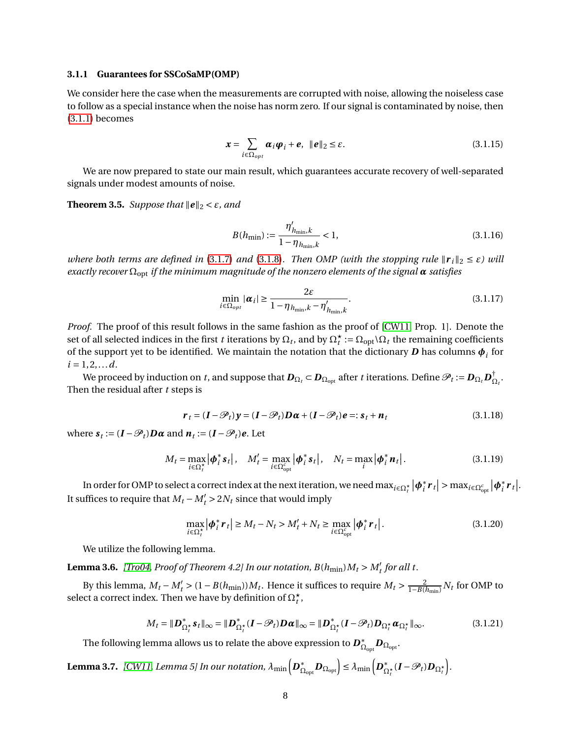#### **3.1.1 Guarantees for SSCoSaMP(OMP)**

We consider here the case when the measurements are corrupted with noise, allowing the noiseless case to follow as a special instance when the noise has norm zero. If our signal is contaminated by noise, then [\(3.1.1\)](#page-4-1) becomes

$$
\boldsymbol{x} = \sum_{i \in \Omega_{opt}} \boldsymbol{\alpha}_i \boldsymbol{\varphi}_i + \boldsymbol{e}, \ \ \|\boldsymbol{e}\|_2 \leq \varepsilon. \tag{3.1.15}
$$

We are now prepared to state our main result, which guarantees accurate recovery of well-separated signals under modest amounts of noise.

<span id="page-8-2"></span>**Theorem 3.5.** *Suppose that*  $\|\mathbf{e}\|_2 < \varepsilon$ *, and* 

$$
B(h_{\min}) := \frac{\eta'_{h_{\min},k}}{1 - \eta_{h_{\min},k}} < 1,\tag{3.1.16}
$$

<span id="page-8-0"></span>*where both terms are defined in* [\(3.1.7\)](#page-6-2) *and* [\(3.1.8\)](#page-6-3). *Then OMP (with the stopping rule*  $\|\mathbf{r}_i\|_2 \leq \varepsilon$ ) *will exactly recover* Ωopt *if the minimum magnitude of the nonzero elements of the signal α satisfies*

$$
\min_{i \in \Omega_{opt}} |\boldsymbol{\alpha}_i| \ge \frac{2\varepsilon}{1 - \eta_{h_{\min},k} - \eta'_{h_{\min},k}}.\tag{3.1.17}
$$

*Proof.* The proof of this result follows in the same fashion as the proof of [\[CW11,](#page-11-8) Prop. 1]. Denote the set of all selected indices in the first *t* iterations by  $\Omega_t$ , and by  $\Omega_t^{\star} := \Omega_{\text{opt}} \setminus \Omega_t$  the remaining coefficients of the support yet to be identified. We maintain the notation that the dictionary  $\bm{D}$  has columns  $\bm{\phi}_i$  for  $i = 1, 2, \ldots d$ .

We proceed by induction on *t*, and suppose that  $\bm{D}_{\Omega_t}$  ⊂  $\bm{D}_{\Omega_{\rm opt}}$  after *t* iterations. Define  $\mathscr{P}_t$  :=  $\bm{D}_{\Omega_t}\bm{D}_{\Omega}^\dagger$  $\frac{1}{\Omega_t}$ . Then the residual after *t* steps is

$$
\boldsymbol{r}_t = (\boldsymbol{I} - \mathcal{P}_t)\boldsymbol{y} = (\boldsymbol{I} - \mathcal{P}_t)\boldsymbol{D}\boldsymbol{\alpha} + (\boldsymbol{I} - \mathcal{P}_t)\boldsymbol{e} =: \boldsymbol{s}_t + \boldsymbol{n}_t
$$
\n(3.1.18)

where  $\mathbf{s}_t := (\mathbf{I} - \mathcal{P}_t)\mathbf{D}\boldsymbol{\alpha}$  and  $\mathbf{n}_t := (\mathbf{I} - \mathcal{P}_t)\mathbf{e}$ . Let

$$
M_t = \max_{i \in \Omega_t^{\star}} |\boldsymbol{\phi}_i^* \boldsymbol{s}_t|, \quad M'_t = \max_{i \in \Omega_{\text{opt}}^c} |\boldsymbol{\phi}_i^* \boldsymbol{s}_t|, \quad N_t = \max_i |\boldsymbol{\phi}_i^* \boldsymbol{n}_t|.
$$
 (3.1.19)

In order for OMP to select a correct index at the next iteration, we need  $\max_{i\in\Omega_t^{\star}}|\pmb{\phi}_i^*|$  $\left| \sum_{i}^{*} r_{t} \right|$  > max<sub>*i*∈Ω $_{\text{opt}}^{c}$ </sub> | $\phi_{i}^{*}$  $\int_i^* r_t$ . It suffices to require that  $M_t - M'_t > 2N_t$  since that would imply

$$
\max_{i \in \Omega_t^*} |\boldsymbol{\phi}_i^* \boldsymbol{r}_t| \ge M_t - N_t > M'_t + N_t \ge \max_{i \in \Omega_{\text{opt}}^c} |\boldsymbol{\phi}_i^* \boldsymbol{r}_t|.
$$
\n(3.1.20)

We utilize the following lemma.

**Lemma 3.6.** *[\[Tro04,](#page-12-13) Proof of Theorem 4.2] In our notation,*  $B(h_{\text{min}})M_t > M_t^t$  *for all t.* 

By this lemma,  $M_t - M'_t > (1 - B(h_{\min}))M_t$ . Hence it suffices to require  $M_t > \frac{2}{1 - B(h_{\min})} N_t$  for OMP to select a correct index. Then we have by definition of  $\Omega_t^{\star}$ ,

$$
M_t = \|\mathbf{D}_{\Omega_t^{\star}}^* \mathbf{s}_t\|_{\infty} = \|\mathbf{D}_{\Omega_t^{\star}}^* (\mathbf{I} - \mathscr{P}_t) \mathbf{D} \boldsymbol{\alpha}\|_{\infty} = \|\mathbf{D}_{\Omega_t^{\star}}^* (\mathbf{I} - \mathscr{P}_t) \mathbf{D}_{\Omega_t^{\star}} \boldsymbol{\alpha}_{\Omega_t^{\star}}\|_{\infty}.
$$
 (3.1.21)

The following lemma allows us to relate the above expression to  $\boldsymbol{D}_C^*$  $\stackrel{*}{\Omega}_{\rm opt}\bm{D}_{\Omega_{\rm opt}}.$ 

<span id="page-8-1"></span>Lemma 3.7. *[\[CW11,](#page-11-8) Lemma 5] In our notation,*  $\lambda_{\min}\bigl[\bm{D}_\Omega^*\bigr]$  $\mathbb{E}_{\Omega_{\mathrm{opt}}} \boldsymbol{D}_{\Omega_{\mathrm{opt}}} \Big] \leq \lambda_{\mathrm{min}} \Big( \boldsymbol{D}_{\Omega}^* \Big)$  $\sum_{\Omega_t^{\star}}^{\ast} (\boldsymbol{I} - \mathscr{P}_t) \boldsymbol{D}_{\Omega_t^{\star}} \bigg).$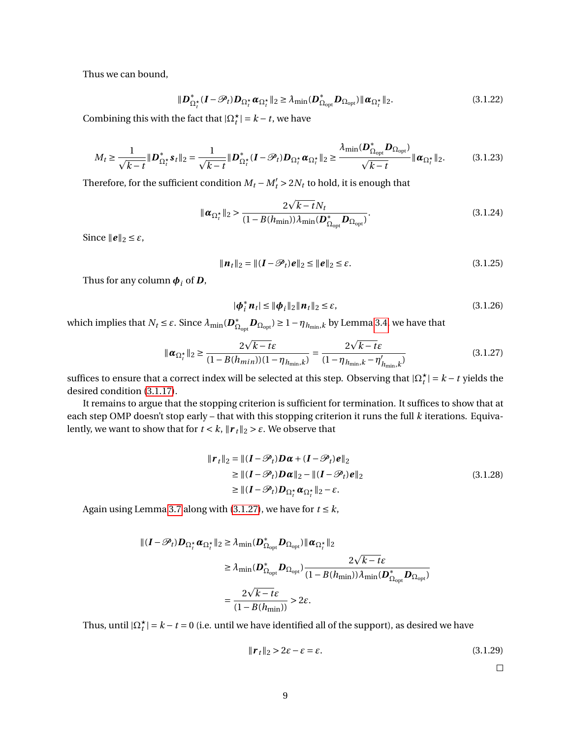Thus we can bound,

$$
\|\mathbf{D}_{\Omega_t^*}^*(\mathbf{I} - \mathscr{P}_t)\mathbf{D}_{\Omega_t^*}\boldsymbol{\alpha}_{\Omega_t^*}\|_2 \ge \lambda_{\min}(\mathbf{D}_{\Omega_{\text{opt}}}^*\mathbf{D}_{\Omega_{\text{opt}}})\|\boldsymbol{\alpha}_{\Omega_t^*}\|_2. \tag{3.1.22}
$$

Combining this with the fact that  $|\Omega_t^{\star}| = k - t$ , we have

$$
M_t \ge \frac{1}{\sqrt{k-t}} \|\mathbf{D}_{\Omega_t^{\star}}^* \mathbf{s}_t\|_2 = \frac{1}{\sqrt{k-t}} \|\mathbf{D}_{\Omega_t^{\star}}^* (I - \mathcal{P}_t) \mathbf{D}_{\Omega_t^{\star}} \boldsymbol{\alpha}_{\Omega_t^{\star}}\|_2 \ge \frac{\lambda_{\min}(\mathbf{D}_{\Omega_{\text{opt}}}^* \mathbf{D}_{\Omega_{\text{opt}}})}{\sqrt{k-t}} \|\boldsymbol{\alpha}_{\Omega_t^{\star}}\|_2. \tag{3.1.23}
$$

Therefore, for the sufficient condition  $M_t - M'_t > 2N_t$  to hold, it is enough that

$$
\|\boldsymbol{\alpha}_{\Omega_t^{\star}}\|_2 > \frac{2\sqrt{k-t}N_t}{(1-B(h_{\min}))\lambda_{\min}(\boldsymbol{D}_{\Omega_{\text{opt}}}^{\star}\boldsymbol{D}_{\Omega_{\text{opt}}})}.
$$
\n(3.1.24)

Since  $\|\boldsymbol{e}\|_2 \leq \varepsilon$ ,

$$
\|\boldsymbol{n}_t\|_2 = \|(I - \mathcal{P}_t)\boldsymbol{e}\|_2 \le \|\boldsymbol{e}\|_2 \le \varepsilon. \tag{3.1.25}
$$

Thus for any column  $\phi_i$  of *D*,

$$
|\phi_i^* n_t| \leq ||\phi_i||_2 ||n_t||_2 \leq \varepsilon, \tag{3.1.26}
$$

<span id="page-9-0"></span>which implies that  $N_t \leq \varepsilon$ . Since  $\lambda_{\min}(\boldsymbol{D}_{\Omega}^*)$  $\sum_{\text{O} \text{opt}}^*$   $\bm{D}_{\text{O} \text{opt}}$ ) ≥  $1 - \eta_{h_{\text{min}},k}$  by Lemma [3.4,](#page-6-4) we have that

$$
\|\alpha_{\Omega_t^{\star}}\|_2 \ge \frac{2\sqrt{k-t}\varepsilon}{(1 - B(h_{\min}))(1 - \eta_{h_{\min},k})} = \frac{2\sqrt{k-t}\varepsilon}{(1 - \eta_{h_{\min},k} - \eta'_{h_{\min},k})}
$$
(3.1.27)

suffices to ensure that a correct index will be selected at this step. Observing that  $|\Omega_t^{\star}| = k - t$  yields the desired condition [\(3.1.17\)](#page-8-0).

It remains to argue that the stopping criterion is sufficient for termination. It suffices to show that at each step OMP doesn't stop early – that with this stopping criterion it runs the full *k* iterations. Equivalently, we want to show that for  $t < k$ ,  $\|\mathbf{r}_t\|_2 > \varepsilon$ . We observe that

$$
\|\boldsymbol{r}_t\|_2 = \|(\boldsymbol{I} - \mathcal{P}_t)\boldsymbol{D}\boldsymbol{\alpha} + (\boldsymbol{I} - \mathcal{P}_t)\boldsymbol{e}\|_2
$$
  
\n
$$
\geq \|( \boldsymbol{I} - \mathcal{P}_t)\boldsymbol{D}\boldsymbol{\alpha}\|_2 - \|(\boldsymbol{I} - \mathcal{P}_t)\boldsymbol{e}\|_2
$$
  
\n
$$
\geq \|(\boldsymbol{I} - \mathcal{P}_t)\boldsymbol{D}_{\Omega_t^*}\boldsymbol{\alpha}_{\Omega_t^*}\|_2 - \varepsilon.
$$
\n(3.1.28)

Again using Lemma [3.7](#page-8-1) along with [\(3.1.27\)](#page-9-0), we have for  $t \leq k$ ,

$$
\begin{aligned} || (I - \mathscr{P}_t) D_{\Omega_t^{\star}} \alpha_{\Omega_t^{\star}} ||_2 &\geq \lambda_{\min} (D_{\Omega_{\text{opt}}}^{\star} D_{\Omega_{\text{opt}}}) || \alpha_{\Omega_t^{\star}} ||_2 \\ &\geq \lambda_{\min} (D_{\Omega_{\text{opt}}}^{\star} D_{\Omega_{\text{opt}}}) \frac{2\sqrt{k - t\epsilon}}{(1 - B(h_{\min}))\lambda_{\min} (D_{\Omega_{\text{opt}}}^{\star} D_{\Omega_{\text{opt}}})} \\ &= \frac{2\sqrt{k - t\epsilon}}{(1 - B(h_{\min}))} > 2\epsilon. \end{aligned}
$$

Thus, until  $|\Omega_t^{\star}| = k - t = 0$  (i.e. until we have identified all of the support), as desired we have

$$
\|\mathbf{r}_t\|_2 > 2\varepsilon - \varepsilon = \varepsilon. \tag{3.1.29}
$$

 $\Box$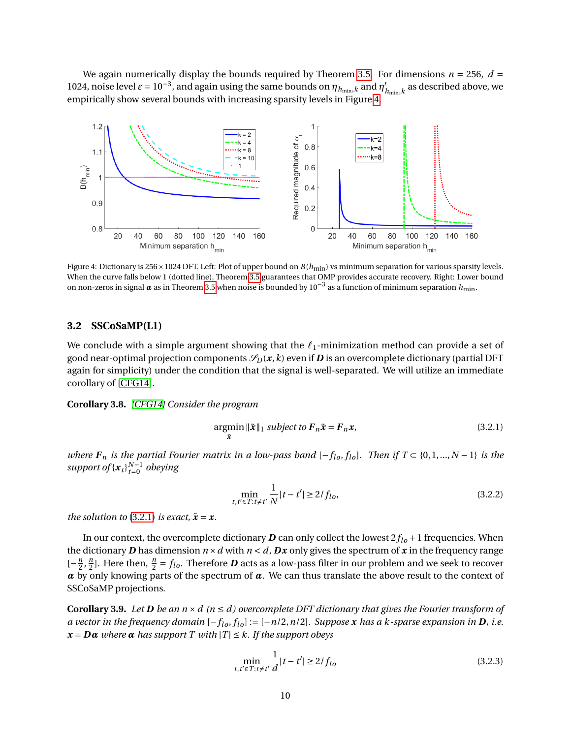We again numerically display the bounds required by Theorem [3.5.](#page-8-2) For dimensions  $n = 256$ ,  $d =$ 1024, noise level  $\varepsilon = 10^{-3}$ , and again using the same bounds on  $\eta_{h_{\text{min}},k}$  and  $\eta'_{j}$  $\mathcal{U}_{h_{\min},k}$  as described above, we empirically show several bounds with increasing sparsity levels in Figure [4.](#page-10-0)

<span id="page-10-0"></span>

Figure 4: Dictionary is 256 × 1024 DFT. Left: Plot of upper bound on  $B(h_{\text{min}})$  vs minimum separation for various sparsity levels. When the curve falls below 1 (dotted line), Theorem [3.5](#page-8-2) guarantees that OMP provides accurate recovery. Right: Lower bound on non-zeros in signal *<sup>α</sup>* as in Theorem [3.5](#page-8-2) when noise is bounded by 10−<sup>3</sup> as a function of minimum separation *h*min.

#### **3.2 SSCoSaMP(L1)**

We conclude with a simple argument showing that the  $\ell_1$ -minimization method can provide a set of good near-optimal projection components  $\mathcal{S}_D(x, k)$  even if **D** is an overcomplete dictionary (partial DFT again for simplicity) under the condition that the signal is well-separated. We will utilize an immediate corollary of [\[CFG14\]](#page-11-9).

**Corollary 3.8.** *[\[CFG14\]](#page-11-9) Consider the program*

<span id="page-10-1"></span>
$$
\underset{\tilde{x}}{\operatorname{argmin}} \|\tilde{x}\|_1 \ \text{subject to } \boldsymbol{F}_n \tilde{x} = \boldsymbol{F}_n \boldsymbol{x},\tag{3.2.1}
$$

*where*  $F_n$  *is the partial Fourier matrix in a low-pass band*  $[-f_{lo}, f_{lo}]$ *. Then if*  $T \subset \{0, 1, ..., N - 1\}$  *is the support of*  ${x_t}_{t=0}^{N-1}$  *obeying* 

$$
\min_{t, t' \in T : t \neq t'} \frac{1}{N} |t - t'| \ge 2/f_{lo},\tag{3.2.2}
$$

*the solution to* [\(3.2.1\)](#page-10-1) *is exact,*  $\tilde{x} = x$ *.* 

In our context, the overcomplete dictionary  $D$  can only collect the lowest  $2f_{lo} + 1$  frequencies. When the dictionary **D** has dimension  $n \times d$  with  $n \le d$ , **Dx** only gives the spectrum of **x** in the frequency range  $\left[-\frac{n}{2}\right]$  $\frac{n}{2}, \frac{n}{2}$  $\frac{n}{2}$ ]. Here then,  $\frac{n}{2} = f_{lo}$ . Therefore  $\bm{D}$  acts as a low-pass filter in our problem and we seek to recover  $\alpha$  by only knowing parts of the spectrum of  $\alpha$ . We can thus translate the above result to the context of SSCoSaMP projections.

**Corollary 3.9.** Let *D* be an  $n \times d$  ( $n \le d$ ) overcomplete DFT dictionary that gives the Fourier transform of *a vector in the frequency domain*  $[-f_{lo}, f_{lo}] := [-n/2, n/2]$ *. Suppose x has a k-sparse expansion in* **D***, i.e.*  $x = D\alpha$  *where*  $\alpha$  *has support*  $T$  *with*  $|T| \leq k$ *. If the support obeys* 

$$
\min_{t, t' \in T : t \neq t'} \frac{1}{d} |t - t'| \ge 2/f_{lo}
$$
\n(3.2.3)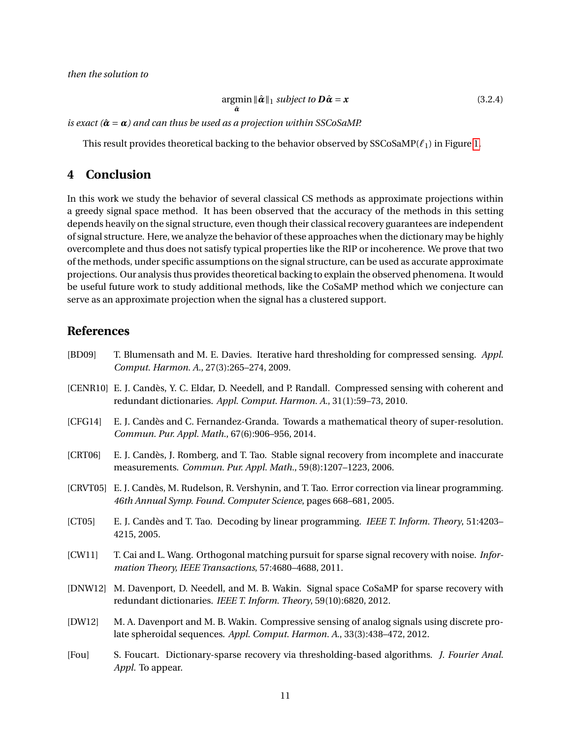$$
\underset{\hat{\boldsymbol{\alpha}}}{\operatorname{argmin}} \|\hat{\boldsymbol{\alpha}}\|_1 \ \text{subject to} \ \boldsymbol{D}\hat{\boldsymbol{\alpha}} = \boldsymbol{x} \tag{3.2.4}
$$

*is exact* ( $\hat{\alpha} = \alpha$ ) and can thus be used as a projection within SSCoSaMP.

This result provides theoretical backing to the behavior observed by SSCoSaMP(*`*1) in Figure [1.](#page-4-0)

# **4 Conclusion**

In this work we study the behavior of several classical CS methods as approximate projections within a greedy signal space method. It has been observed that the accuracy of the methods in this setting depends heavily on the signal structure, even though their classical recovery guarantees are independent of signal structure. Here, we analyze the behavior of these approaches when the dictionary may be highly overcomplete and thus does not satisfy typical properties like the RIP or incoherence. We prove that two of the methods, under specific assumptions on the signal structure, can be used as accurate approximate projections. Our analysis thus provides theoretical backing to explain the observed phenomena. It would be useful future work to study additional methods, like the CoSaMP method which we conjecture can serve as an approximate projection when the signal has a clustered support.

### **References**

- <span id="page-11-3"></span>[BD09] T. Blumensath and M. E. Davies. Iterative hard thresholding for compressed sensing. *Appl. Comput. Harmon. A.*, 27(3):265–274, 2009.
- <span id="page-11-7"></span>[CENR10] E. J. Candès, Y. C. Eldar, D. Needell, and P. Randall. Compressed sensing with coherent and redundant dictionaries. *Appl. Comput. Harmon. A.*, 31(1):59–73, 2010.
- <span id="page-11-9"></span>[CFG14] E. J. Candès and C. Fernandez-Granda. Towards a mathematical theory of super-resolution. *Commun. Pur. Appl. Math.*, 67(6):906–956, 2014.
- <span id="page-11-1"></span>[CRT06] E. J. Candès, J. Romberg, and T. Tao. Stable signal recovery from incomplete and inaccurate measurements. *Commun. Pur. Appl. Math.*, 59(8):1207–1223, 2006.
- <span id="page-11-2"></span>[CRVT05] E. J. Candès, M. Rudelson, R. Vershynin, and T. Tao. Error correction via linear programming. *46th Annual Symp. Found. Computer Science*, pages 668–681, 2005.
- <span id="page-11-0"></span>[CT05] E. J. Candès and T. Tao. Decoding by linear programming. *IEEE T. Inform. Theory*, 51:4203– 4215, 2005.
- <span id="page-11-8"></span>[CW11] T. Cai and L. Wang. Orthogonal matching pursuit for sparse signal recovery with noise. *Information Theory, IEEE Transactions*, 57:4680–4688, 2011.
- <span id="page-11-6"></span>[DNW12] M. Davenport, D. Needell, and M. B. Wakin. Signal space CoSaMP for sparse recovery with redundant dictionaries. *IEEE T. Inform. Theory*, 59(10):6820, 2012.
- <span id="page-11-5"></span>[DW12] M. A. Davenport and M. B. Wakin. Compressive sensing of analog signals using discrete prolate spheroidal sequences. *Appl. Comput. Harmon. A.*, 33(3):438–472, 2012.
- <span id="page-11-4"></span>[Fou] S. Foucart. Dictionary-sparse recovery via thresholding-based algorithms. *J. Fourier Anal. Appl.* To appear.